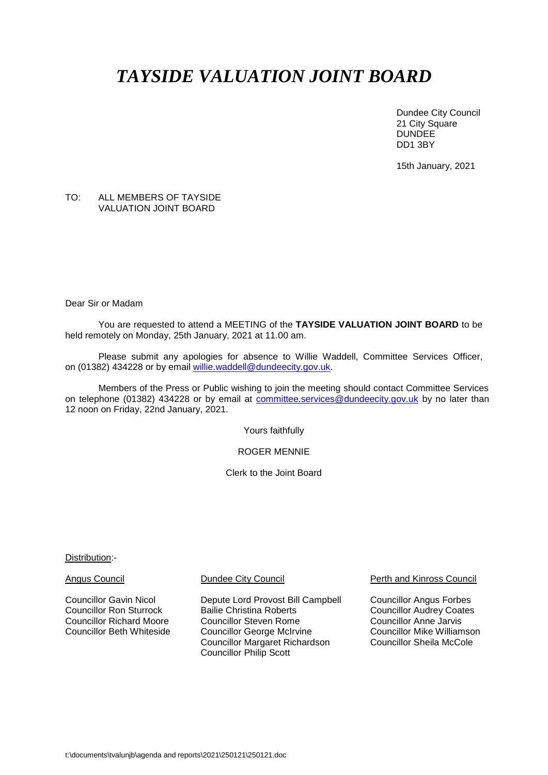# *TAYSIDE VALUATION JOINT BOARD*

Dundee City Council 21 City Square **DUNDEE** DD1 3BY

15th January, 2021

### TO: ALL MEMBERS OF TAYSIDE VALUATION JOINT BOARD

Dear Sir or Madam

You are requested to attend a MEETING of the **TAYSIDE VALUATION JOINT BOARD** to be held remotely on Monday, 25th January, 2021 at 11.00 am.

Please submit any apologies for absence to Willie Waddell, Committee Services Officer, on (01382) 434228 or by email [willie.waddell@dundeecity.gov.uk.](mailto:willie.waddell@dundeecity.gov.uk)

Members of the Press or Public wishing to join the meeting should contact Committee Services on telephone (01382) 434228 or by email at [committee.services@dundeecity.gov.uk](mailto:committee.services@dundeecity.gov.uk) by no later than 12 noon on Friday, 22nd January, 2021.

Yours faithfully

ROGER MENNIE

Clerk to the Joint Board

Distribution:-

Councillor Gavin Nicol **Depute Lord Provost Bill Campbell** Councillor Angus Forbes<br>Councillor Ron Sturrock Bailie Christina Roberts Councillor Audrey Coates Bailie Christina Roberts<br>
Councillor Steven Rome<br>
Councillor Anne Jarvis Councillor Richard Moore Councillor Steven Rome Councillor Anne Jarvis Councillor George McIrvine **Councillor Mike Williamson**<br>Councillor Margaret Richardson Councillor Sheila McCole Councillor Margaret Richardson Councillor Philip Scott

Angus Council **Dundee City Council Perth and Kinross Council** Perth and Kinross Council